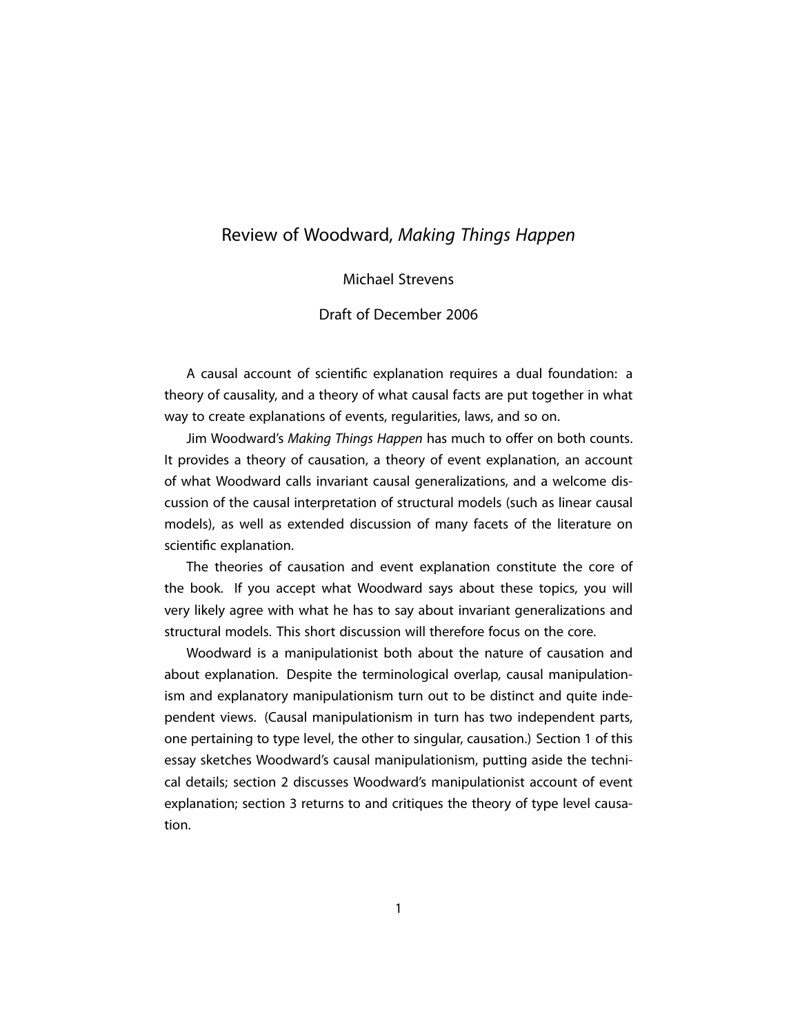# Review of Woodward, *Making Things Happen*

Michael Strevens

Draft of December 2006

A causal account of scientific explanation requires a dual foundation: a theory of causality, and a theory of what causal facts are put together in what way to create explanations of events, regularities, laws, and so on.

Jim Woodward's *Making Things Happen* has much to offer on both counts. It provides a theory of causation, a theory of event explanation, an account of what Woodward calls invariant causal generalizations, and a welcome discussion of the causal interpretation of structural models (such as linear causal models), as well as extended discussion of many facets of the literature on scientific explanation.

The theories of causation and event explanation constitute the core of the book. If you accept what Woodward says about these topics, you will very likely agree with what he has to say about invariant generalizations and structural models. This short discussion will therefore focus on the core.

Woodward is a manipulationist both about the nature of causation and about explanation. Despite the terminological overlap, causal manipulationism and explanatory manipulationism turn out to be distinct and quite independent views. (Causal manipulationism in turn has two independent parts, one pertaining to type level, the other to singular, causation.) Section 1 of this essay sketches Woodward's causal manipulationism, putting aside the technical details; section 2 discusses Woodward's manipulationist account of event explanation; section 3 returns to and critiques the theory of type level causation.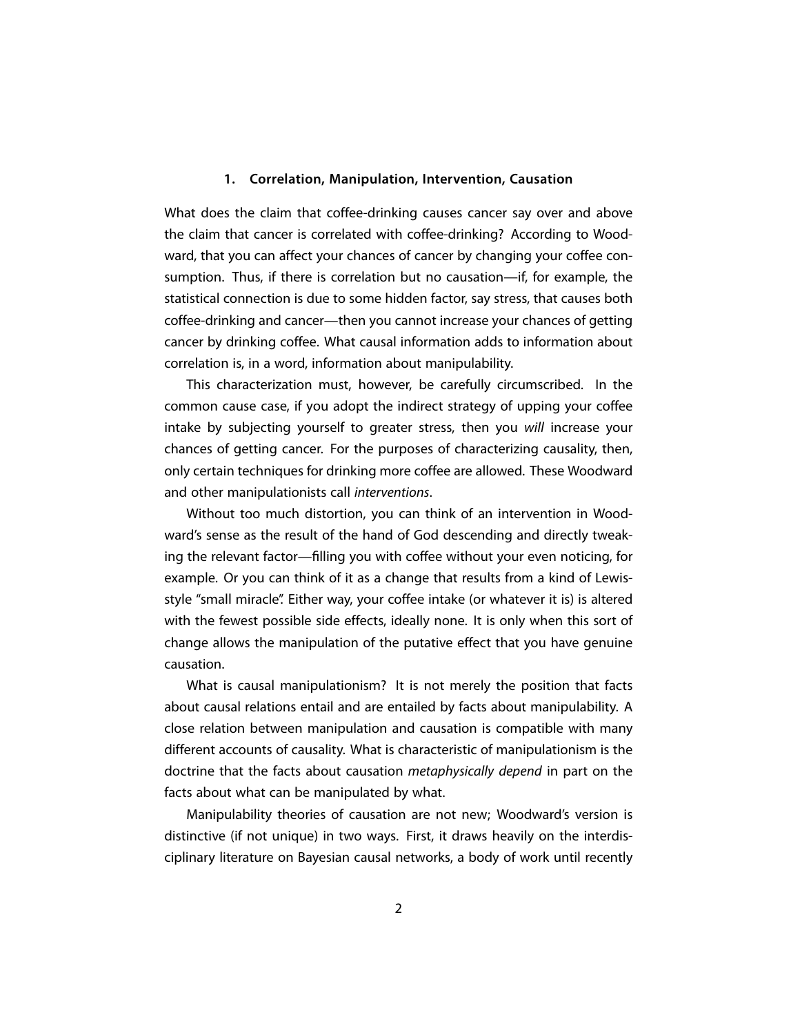# **1. Correlation, Manipulation, Intervention, Causation**

What does the claim that coffee-drinking causes cancer say over and above the claim that cancer is correlated with coffee-drinking? According to Woodward, that you can affect your chances of cancer by changing your coffee consumption. Thus, if there is correlation but no causation—if, for example, the statistical connection is due to some hidden factor, say stress, that causes both coffee-drinking and cancer—then you cannot increase your chances of getting cancer by drinking coffee. What causal information adds to information about correlation is, in a word, information about manipulability.

This characterization must, however, be carefully circumscribed. In the common cause case, if you adopt the indirect strategy of upping your coffee intake by subjecting yourself to greater stress, then you *will* increase your chances of getting cancer. For the purposes of characterizing causality, then, only certain techniques for drinking more coffee are allowed. These Woodward and other manipulationists call *interventions*.

Without too much distortion, you can think of an intervention in Woodward's sense as the result of the hand of God descending and directly tweaking the relevant factor—filling you with coffee without your even noticing, for example. Or you can think of it as a change that results from a kind of Lewisstyle "small miracle". Either way, your coffee intake (or whatever it is) is altered with the fewest possible side effects, ideally none. It is only when this sort of change allows the manipulation of the putative effect that you have genuine causation.

What is causal manipulationism? It is not merely the position that facts about causal relations entail and are entailed by facts about manipulability. A close relation between manipulation and causation is compatible with many different accounts of causality. What is characteristic of manipulationism is the doctrine that the facts about causation *metaphysically depend* in part on the facts about what can be manipulated by what.

Manipulability theories of causation are not new; Woodward's version is distinctive (if not unique) in two ways. First, it draws heavily on the interdisciplinary literature on Bayesian causal networks, a body of work until recently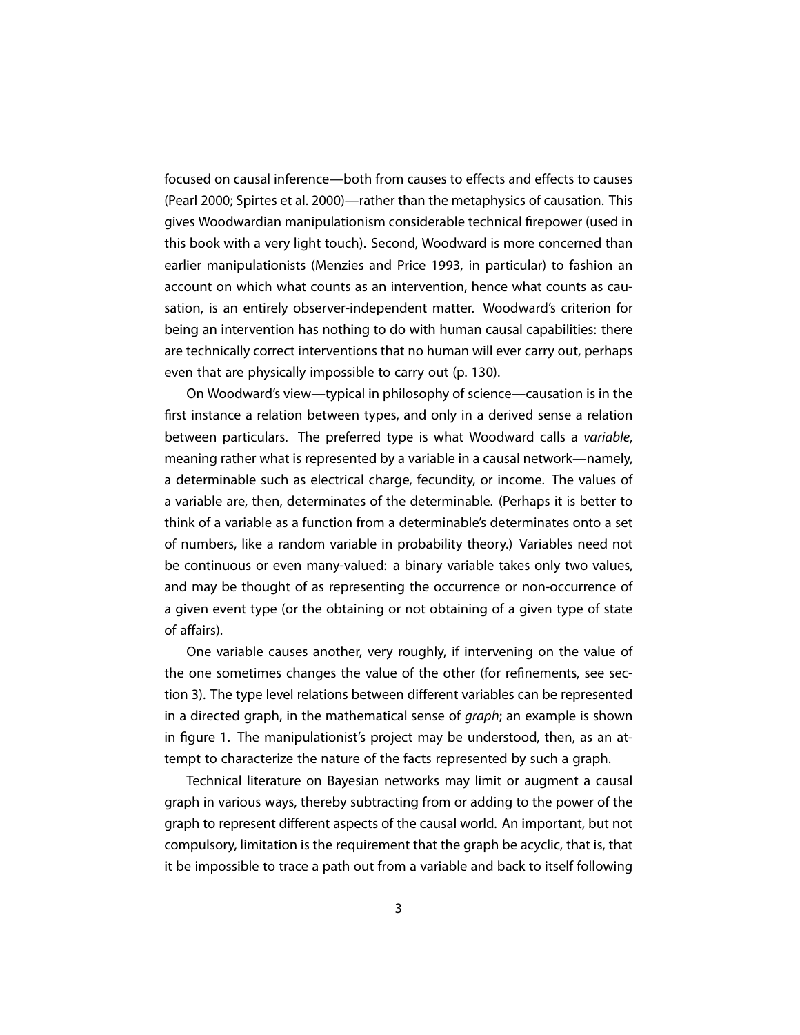focused on causal inference—both from causes to effects and effects to causes (Pearl 2000; Spirtes et al. 2000)—rather than the metaphysics of causation. This gives Woodwardian manipulationism considerable technical firepower (used in this book with a very light touch). Second, Woodward is more concerned than earlier manipulationists (Menzies and Price 1993, in particular) to fashion an account on which what counts as an intervention, hence what counts as causation, is an entirely observer-independent matter. Woodward's criterion for being an intervention has nothing to do with human causal capabilities: there are technically correct interventions that no human will ever carry out, perhaps even that are physically impossible to carry out (p. 130).

On Woodward's view—typical in philosophy of science—causation is in the first instance a relation between types, and only in a derived sense a relation between particulars. The preferred type is what Woodward calls a *variable*, meaning rather what is represented by a variable in a causal network—namely, a determinable such as electrical charge, fecundity, or income. The values of a variable are, then, determinates of the determinable. (Perhaps it is better to think of a variable as a function from a determinable's determinates onto a set of numbers, like a random variable in probability theory.) Variables need not be continuous or even many-valued: a binary variable takes only two values, and may be thought of as representing the occurrence or non-occurrence of a given event type (or the obtaining or not obtaining of a given type of state of affairs).

One variable causes another, very roughly, if intervening on the value of the one sometimes changes the value of the other (for refinements, see section 3). The type level relations between different variables can be represented in a directed graph, in the mathematical sense of *graph*; an example is shown in figure 1. The manipulationist's project may be understood, then, as an attempt to characterize the nature of the facts represented by such a graph.

Technical literature on Bayesian networks may limit or augment a causal graph in various ways, thereby subtracting from or adding to the power of the graph to represent different aspects of the causal world. An important, but not compulsory, limitation is the requirement that the graph be acyclic, that is, that it be impossible to trace a path out from a variable and back to itself following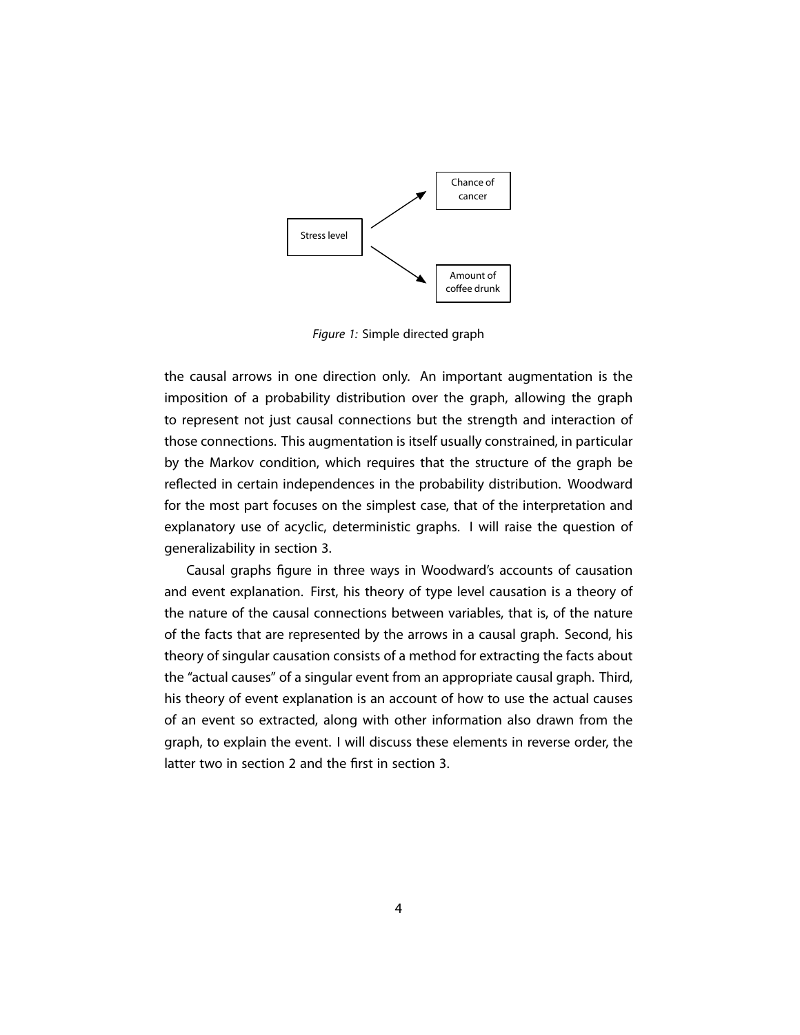

*Figure 1:* Simple directed graph

the causal arrows in one direction only. An important augmentation is the imposition of a probability distribution over the graph, allowing the graph to represent not just causal connections but the strength and interaction of those connections. This augmentation is itself usually constrained, in particular by the Markov condition, which requires that the structure of the graph be reflected in certain independences in the probability distribution. Woodward for the most part focuses on the simplest case, that of the interpretation and explanatory use of acyclic, deterministic graphs. I will raise the question of generalizability in section 3.

Causal graphs figure in three ways in Woodward's accounts of causation and event explanation. First, his theory of type level causation is a theory of the nature of the causal connections between variables, that is, of the nature of the facts that are represented by the arrows in a causal graph. Second, his theory of singular causation consists of a method for extracting the facts about the "actual causes" of a singular event from an appropriate causal graph. Third, his theory of event explanation is an account of how to use the actual causes of an event so extracted, along with other information also drawn from the graph, to explain the event. I will discuss these elements in reverse order, the latter two in section 2 and the first in section 3.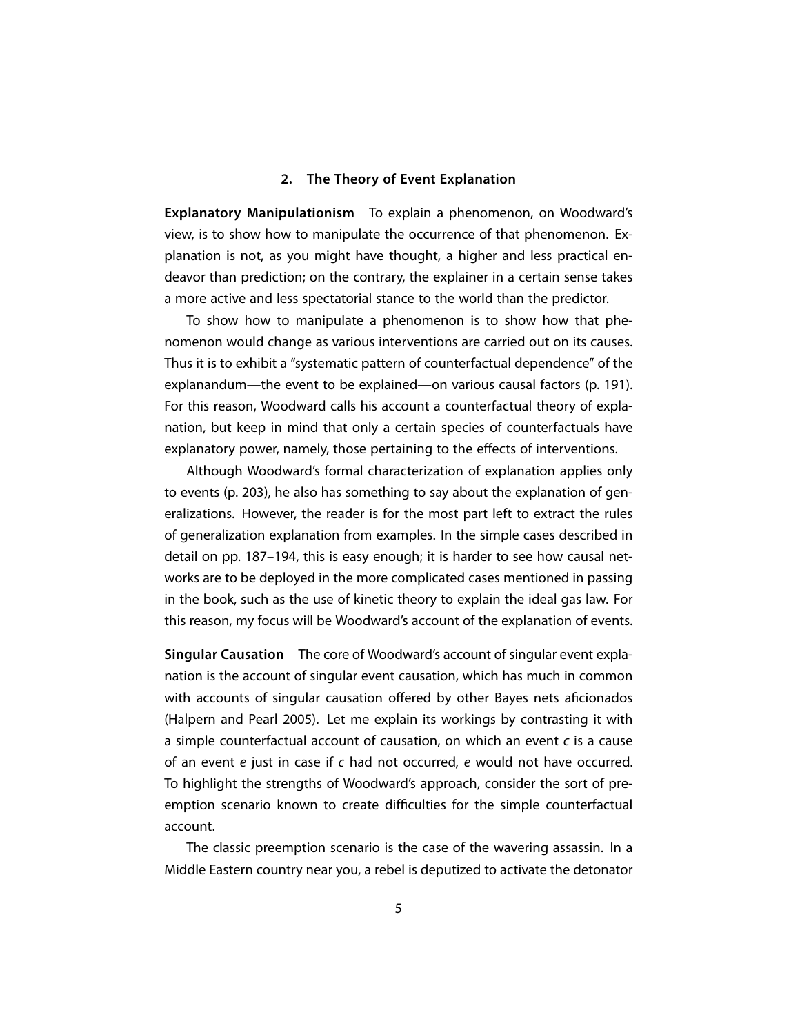# **2. The Theory of Event Explanation**

**Explanatory Manipulationism** To explain a phenomenon, on Woodward's view, is to show how to manipulate the occurrence of that phenomenon. Explanation is not, as you might have thought, a higher and less practical endeavor than prediction; on the contrary, the explainer in a certain sense takes a more active and less spectatorial stance to the world than the predictor.

To show how to manipulate a phenomenon is to show how that phenomenon would change as various interventions are carried out on its causes. Thus it is to exhibit a "systematic pattern of counterfactual dependence" of the explanandum—the event to be explained—on various causal factors (p. 191). For this reason, Woodward calls his account a counterfactual theory of explanation, but keep in mind that only a certain species of counterfactuals have explanatory power, namely, those pertaining to the effects of interventions.

Although Woodward's formal characterization of explanation applies only to events (p. 203), he also has something to say about the explanation of generalizations. However, the reader is for the most part left to extract the rules of generalization explanation from examples. In the simple cases described in detail on pp. 187–194, this is easy enough; it is harder to see how causal networks are to be deployed in the more complicated cases mentioned in passing in the book, such as the use of kinetic theory to explain the ideal gas law. For this reason, my focus will be Woodward's account of the explanation of events.

**Singular Causation** The core of Woodward's account of singular event explanation is the account of singular event causation, which has much in common with accounts of singular causation offered by other Bayes nets aficionados (Halpern and Pearl 2005). Let me explain its workings by contrasting it with a simple counterfactual account of causation, on which an event *c* is a cause of an event *e* just in case if *c* had not occurred, *e* would not have occurred. To highlight the strengths of Woodward's approach, consider the sort of preemption scenario known to create difficulties for the simple counterfactual account.

The classic preemption scenario is the case of the wavering assassin. In a Middle Eastern country near you, a rebel is deputized to activate the detonator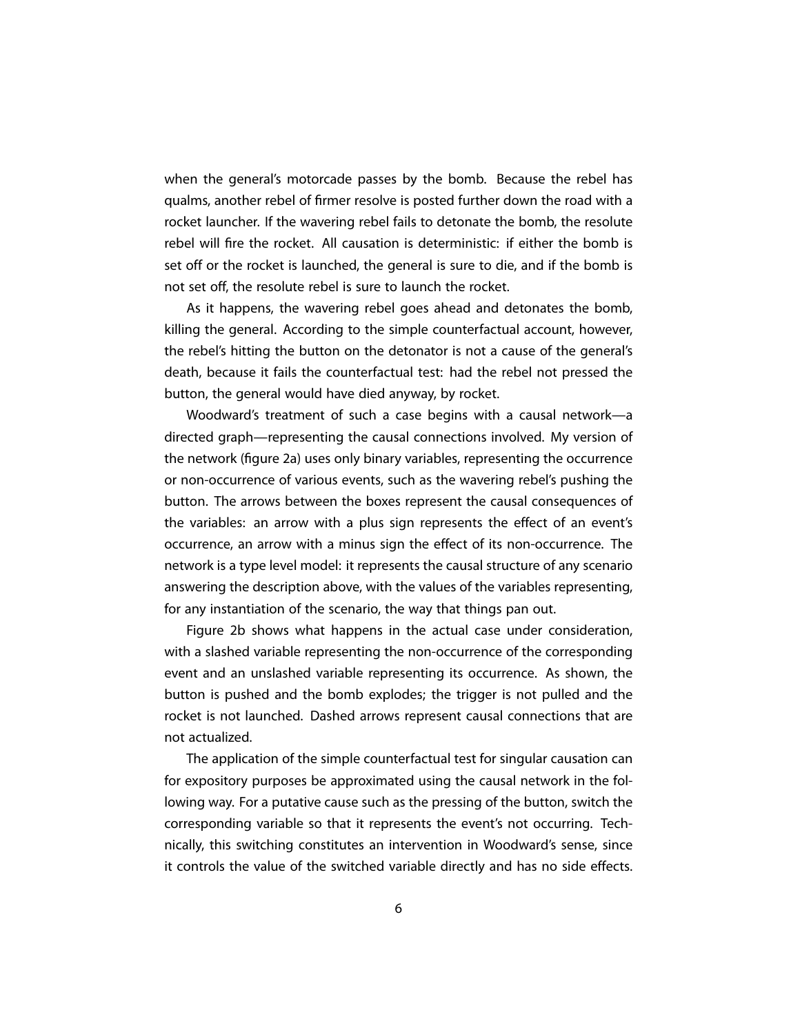when the general's motorcade passes by the bomb. Because the rebel has qualms, another rebel of firmer resolve is posted further down the road with a rocket launcher. If the wavering rebel fails to detonate the bomb, the resolute rebel will fire the rocket. All causation is deterministic: if either the bomb is set off or the rocket is launched, the general is sure to die, and if the bomb is not set off, the resolute rebel is sure to launch the rocket.

As it happens, the wavering rebel goes ahead and detonates the bomb, killing the general. According to the simple counterfactual account, however, the rebel's hitting the button on the detonator is not a cause of the general's death, because it fails the counterfactual test: had the rebel not pressed the button, the general would have died anyway, by rocket.

Woodward's treatment of such a case begins with a causal network—a directed graph—representing the causal connections involved. My version of the network (figure 2a) uses only binary variables, representing the occurrence or non-occurrence of various events, such as the wavering rebel's pushing the button. The arrows between the boxes represent the causal consequences of the variables: an arrow with a plus sign represents the effect of an event's occurrence, an arrow with a minus sign the effect of its non-occurrence. The network is a type level model: it represents the causal structure of any scenario answering the description above, with the values of the variables representing, for any instantiation of the scenario, the way that things pan out.

Figure 2b shows what happens in the actual case under consideration, with a slashed variable representing the non-occurrence of the corresponding event and an unslashed variable representing its occurrence. As shown, the button is pushed and the bomb explodes; the trigger is not pulled and the rocket is not launched. Dashed arrows represent causal connections that are not actualized.

The application of the simple counterfactual test for singular causation can for expository purposes be approximated using the causal network in the following way. For a putative cause such as the pressing of the button, switch the corresponding variable so that it represents the event's not occurring. Technically, this switching constitutes an intervention in Woodward's sense, since it controls the value of the switched variable directly and has no side effects.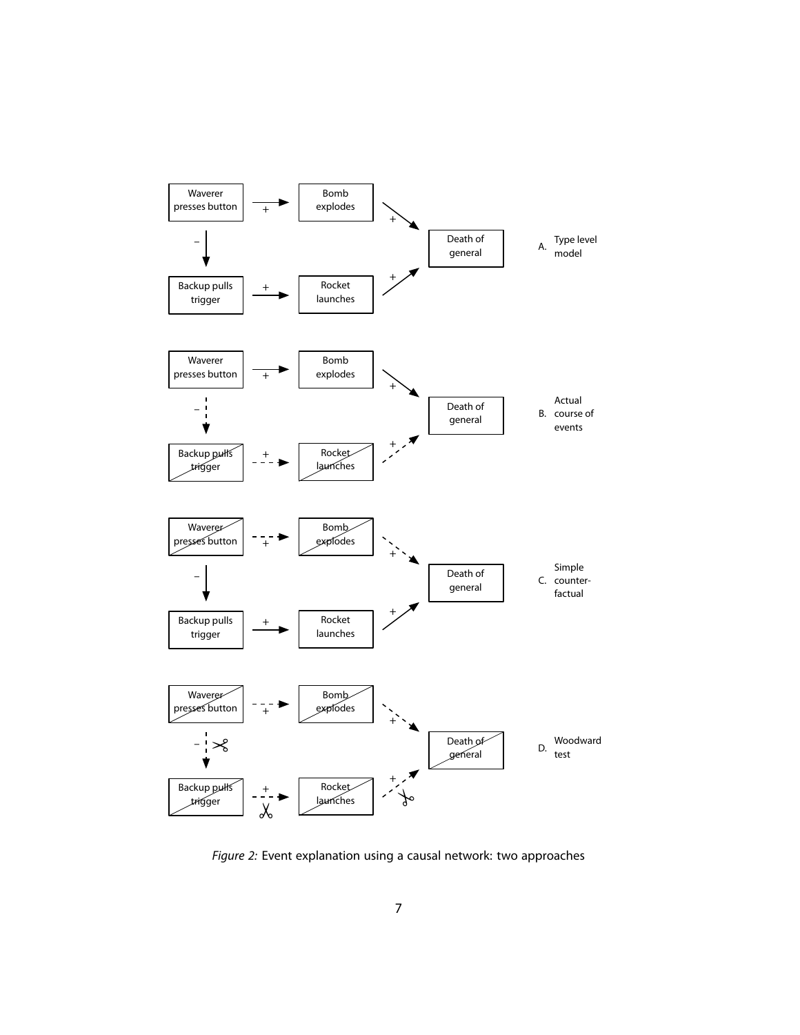

*Figure 2:* Event explanation using a causal network: two approaches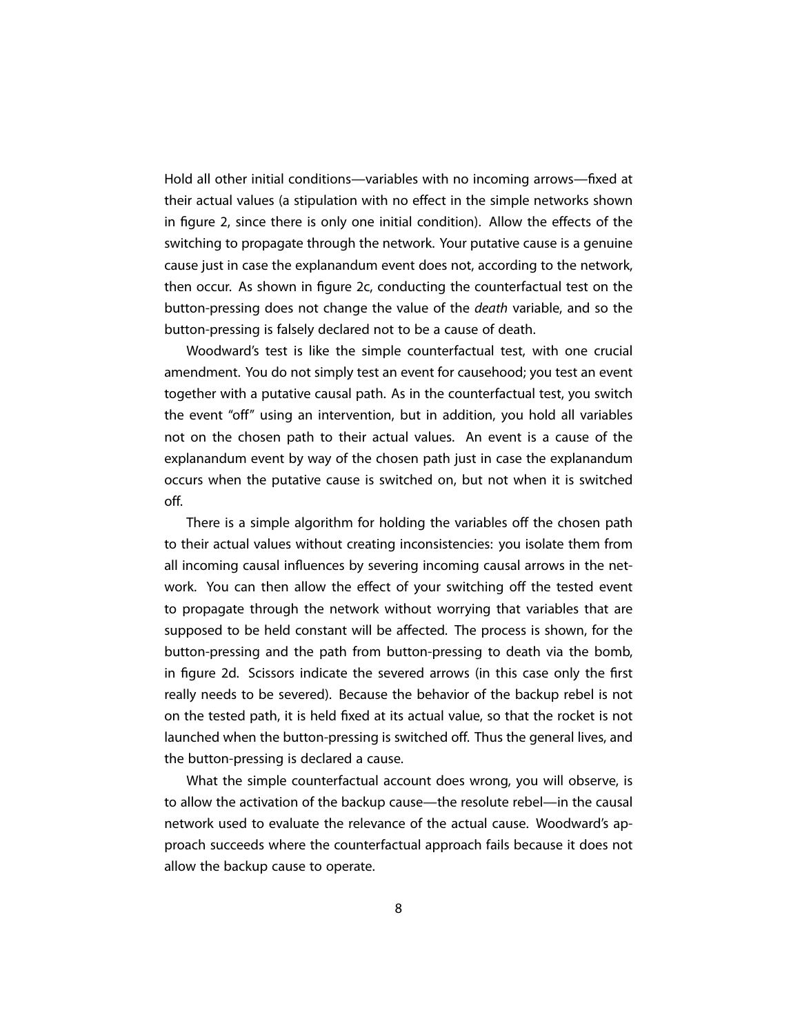Hold all other initial conditions—variables with no incoming arrows—fixed at their actual values (a stipulation with no effect in the simple networks shown in figure 2, since there is only one initial condition). Allow the effects of the switching to propagate through the network. Your putative cause is a genuine cause just in case the explanandum event does not, according to the network, then occur. As shown in figure 2c, conducting the counterfactual test on the button-pressing does not change the value of the *death* variable, and so the button-pressing is falsely declared not to be a cause of death.

Woodward's test is like the simple counterfactual test, with one crucial amendment. You do not simply test an event for causehood; you test an event together with a putative causal path. As in the counterfactual test, you switch the event "off" using an intervention, but in addition, you hold all variables not on the chosen path to their actual values. An event is a cause of the explanandum event by way of the chosen path just in case the explanandum occurs when the putative cause is switched on, but not when it is switched off.

There is a simple algorithm for holding the variables off the chosen path to their actual values without creating inconsistencies: you isolate them from all incoming causal influences by severing incoming causal arrows in the network. You can then allow the effect of your switching off the tested event to propagate through the network without worrying that variables that are supposed to be held constant will be affected. The process is shown, for the button-pressing and the path from button-pressing to death via the bomb, in figure 2d. Scissors indicate the severed arrows (in this case only the first really needs to be severed). Because the behavior of the backup rebel is not on the tested path, it is held fixed at its actual value, so that the rocket is not launched when the button-pressing is switched off. Thus the general lives, and the button-pressing is declared a cause.

What the simple counterfactual account does wrong, you will observe, is to allow the activation of the backup cause—the resolute rebel—in the causal network used to evaluate the relevance of the actual cause. Woodward's approach succeeds where the counterfactual approach fails because it does not allow the backup cause to operate.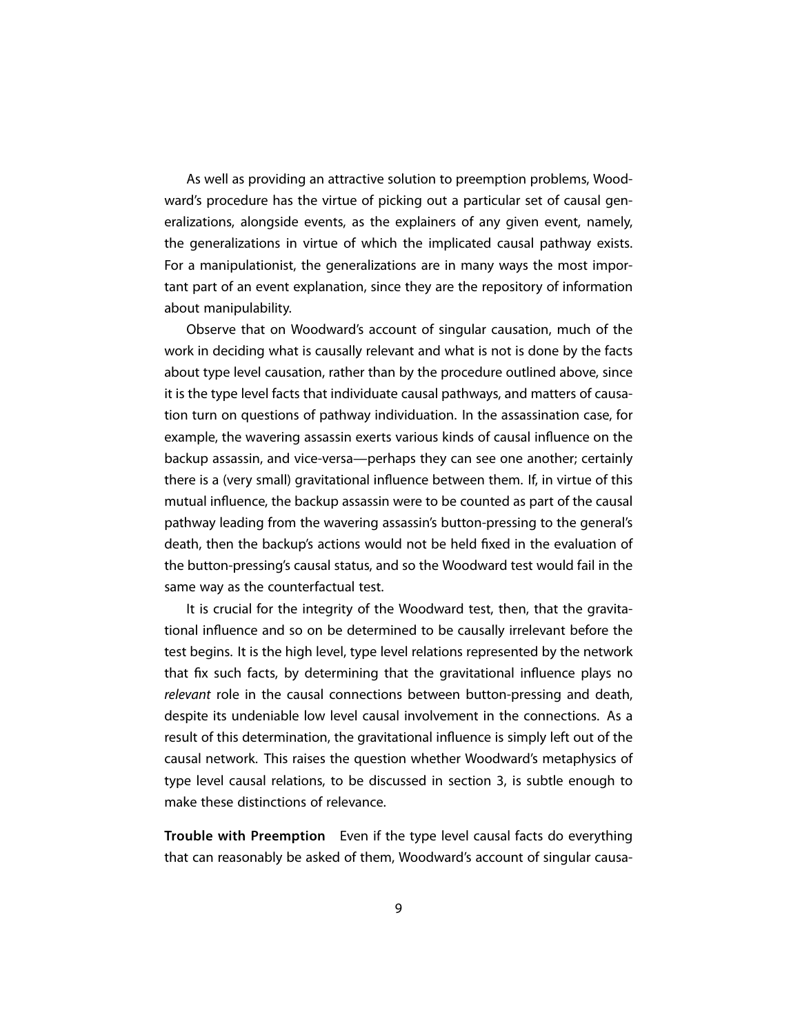As well as providing an attractive solution to preemption problems, Woodward's procedure has the virtue of picking out a particular set of causal generalizations, alongside events, as the explainers of any given event, namely, the generalizations in virtue of which the implicated causal pathway exists. For a manipulationist, the generalizations are in many ways the most important part of an event explanation, since they are the repository of information about manipulability.

Observe that on Woodward's account of singular causation, much of the work in deciding what is causally relevant and what is not is done by the facts about type level causation, rather than by the procedure outlined above, since it is the type level facts that individuate causal pathways, and matters of causation turn on questions of pathway individuation. In the assassination case, for example, the wavering assassin exerts various kinds of causal influence on the backup assassin, and vice-versa—perhaps they can see one another; certainly there is a (very small) gravitational influence between them. If, in virtue of this mutual influence, the backup assassin were to be counted as part of the causal pathway leading from the wavering assassin's button-pressing to the general's death, then the backup's actions would not be held fixed in the evaluation of the button-pressing's causal status, and so the Woodward test would fail in the same way as the counterfactual test.

It is crucial for the integrity of the Woodward test, then, that the gravitational influence and so on be determined to be causally irrelevant before the test begins. It is the high level, type level relations represented by the network that fix such facts, by determining that the gravitational influence plays no *relevant* role in the causal connections between button-pressing and death, despite its undeniable low level causal involvement in the connections. As a result of this determination, the gravitational influence is simply left out of the causal network. This raises the question whether Woodward's metaphysics of type level causal relations, to be discussed in section 3, is subtle enough to make these distinctions of relevance.

**Trouble with Preemption** Even if the type level causal facts do everything that can reasonably be asked of them, Woodward's account of singular causa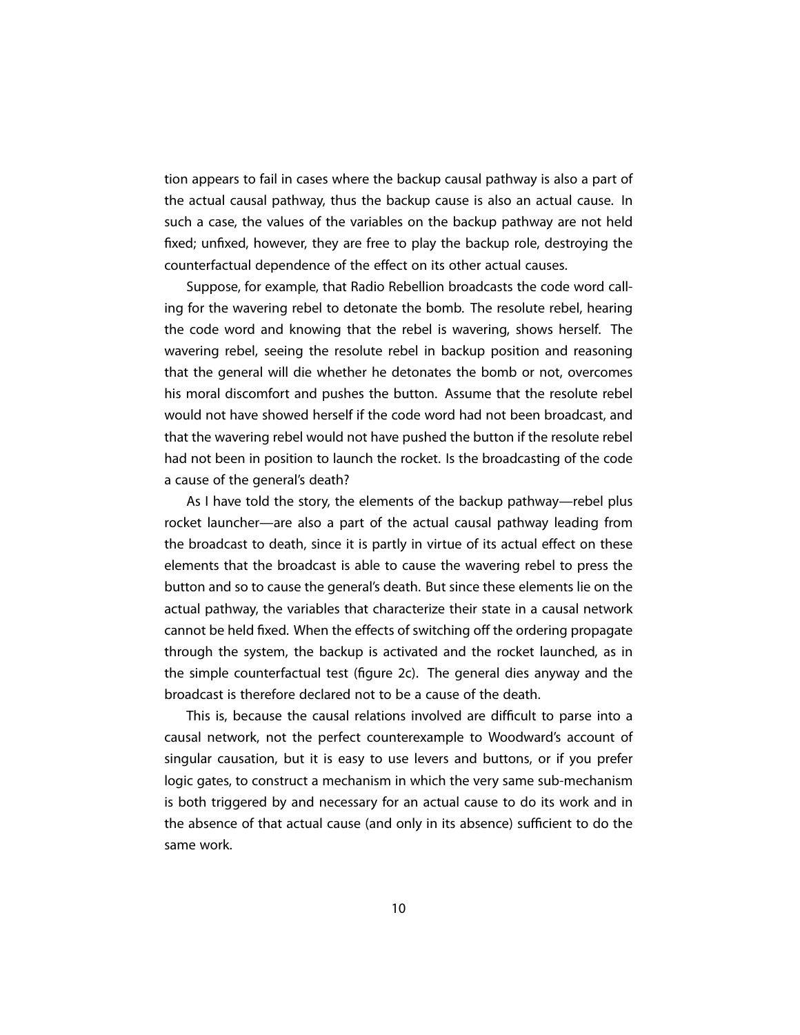tion appears to fail in cases where the backup causal pathway is also a part of the actual causal pathway, thus the backup cause is also an actual cause. In such a case, the values of the variables on the backup pathway are not held fixed; unfixed, however, they are free to play the backup role, destroying the counterfactual dependence of the effect on its other actual causes.

Suppose, for example, that Radio Rebellion broadcasts the code word calling for the wavering rebel to detonate the bomb. The resolute rebel, hearing the code word and knowing that the rebel is wavering, shows herself. The wavering rebel, seeing the resolute rebel in backup position and reasoning that the general will die whether he detonates the bomb or not, overcomes his moral discomfort and pushes the button. Assume that the resolute rebel would not have showed herself if the code word had not been broadcast, and that the wavering rebel would not have pushed the button if the resolute rebel had not been in position to launch the rocket. Is the broadcasting of the code a cause of the general's death?

As I have told the story, the elements of the backup pathway—rebel plus rocket launcher—are also a part of the actual causal pathway leading from the broadcast to death, since it is partly in virtue of its actual effect on these elements that the broadcast is able to cause the wavering rebel to press the button and so to cause the general's death. But since these elements lie on the actual pathway, the variables that characterize their state in a causal network cannot be held fixed. When the effects of switching off the ordering propagate through the system, the backup is activated and the rocket launched, as in the simple counterfactual test (figure 2c). The general dies anyway and the broadcast is therefore declared not to be a cause of the death.

This is, because the causal relations involved are difficult to parse into a causal network, not the perfect counterexample to Woodward's account of singular causation, but it is easy to use levers and buttons, or if you prefer logic gates, to construct a mechanism in which the very same sub-mechanism is both triggered by and necessary for an actual cause to do its work and in the absence of that actual cause (and only in its absence) sufficient to do the same work.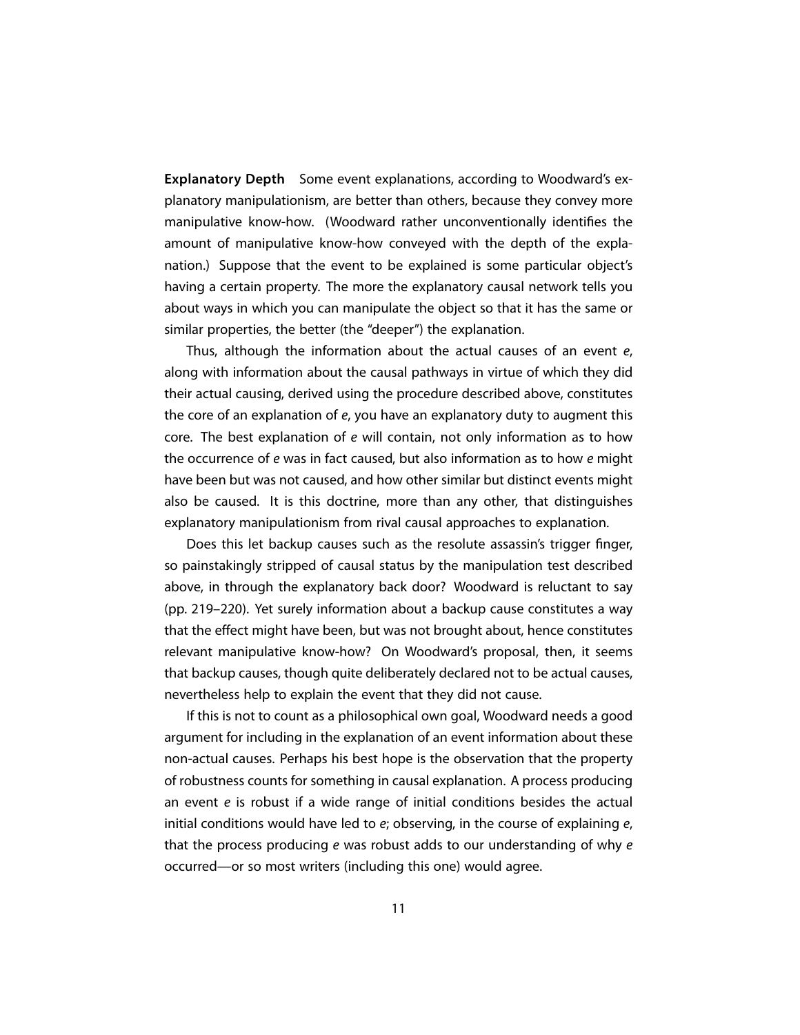**Explanatory Depth** Some event explanations, according to Woodward's explanatory manipulationism, are better than others, because they convey more manipulative know-how. (Woodward rather unconventionally identifies the amount of manipulative know-how conveyed with the depth of the explanation.) Suppose that the event to be explained is some particular object's having a certain property. The more the explanatory causal network tells you about ways in which you can manipulate the object so that it has the same or similar properties, the better (the "deeper") the explanation.

Thus, although the information about the actual causes of an event *e*, along with information about the causal pathways in virtue of which they did their actual causing, derived using the procedure described above, constitutes the core of an explanation of *e*, you have an explanatory duty to augment this core. The best explanation of *e* will contain, not only information as to how the occurrence of *e* was in fact caused, but also information as to how *e* might have been but was not caused, and how other similar but distinct events might also be caused. It is this doctrine, more than any other, that distinguishes explanatory manipulationism from rival causal approaches to explanation.

Does this let backup causes such as the resolute assassin's trigger finger, so painstakingly stripped of causal status by the manipulation test described above, in through the explanatory back door? Woodward is reluctant to say (pp. 219–220). Yet surely information about a backup cause constitutes a way that the effect might have been, but was not brought about, hence constitutes relevant manipulative know-how? On Woodward's proposal, then, it seems that backup causes, though quite deliberately declared not to be actual causes, nevertheless help to explain the event that they did not cause.

If this is not to count as a philosophical own goal, Woodward needs a good argument for including in the explanation of an event information about these non-actual causes. Perhaps his best hope is the observation that the property of robustness counts for something in causal explanation. A process producing an event *e* is robust if a wide range of initial conditions besides the actual initial conditions would have led to *e*; observing, in the course of explaining *e*, that the process producing *e* was robust adds to our understanding of why *e* occurred—or so most writers (including this one) would agree.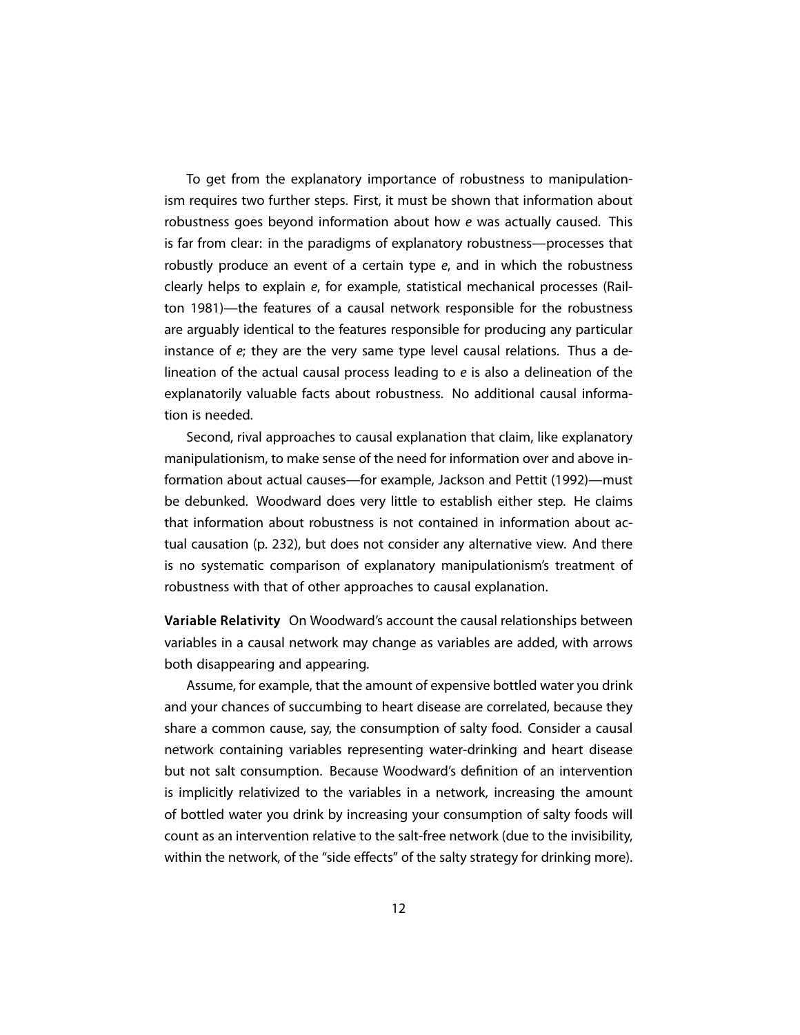To get from the explanatory importance of robustness to manipulationism requires two further steps. First, it must be shown that information about robustness goes beyond information about how *e* was actually caused. This is far from clear: in the paradigms of explanatory robustness—processes that robustly produce an event of a certain type *e*, and in which the robustness clearly helps to explain *e*, for example, statistical mechanical processes (Railton 1981)—the features of a causal network responsible for the robustness are arguably identical to the features responsible for producing any particular instance of *e*; they are the very same type level causal relations. Thus a delineation of the actual causal process leading to *e* is also a delineation of the explanatorily valuable facts about robustness. No additional causal information is needed.

Second, rival approaches to causal explanation that claim, like explanatory manipulationism, to make sense of the need for information over and above information about actual causes—for example, Jackson and Pettit (1992)—must be debunked. Woodward does very little to establish either step. He claims that information about robustness is not contained in information about actual causation (p. 232), but does not consider any alternative view. And there is no systematic comparison of explanatory manipulationism's treatment of robustness with that of other approaches to causal explanation.

**Variable Relativity** On Woodward's account the causal relationships between variables in a causal network may change as variables are added, with arrows both disappearing and appearing.

Assume, for example, that the amount of expensive bottled water you drink and your chances of succumbing to heart disease are correlated, because they share a common cause, say, the consumption of salty food. Consider a causal network containing variables representing water-drinking and heart disease but not salt consumption. Because Woodward's definition of an intervention is implicitly relativized to the variables in a network, increasing the amount of bottled water you drink by increasing your consumption of salty foods will count as an intervention relative to the salt-free network (due to the invisibility, within the network, of the "side effects" of the salty strategy for drinking more).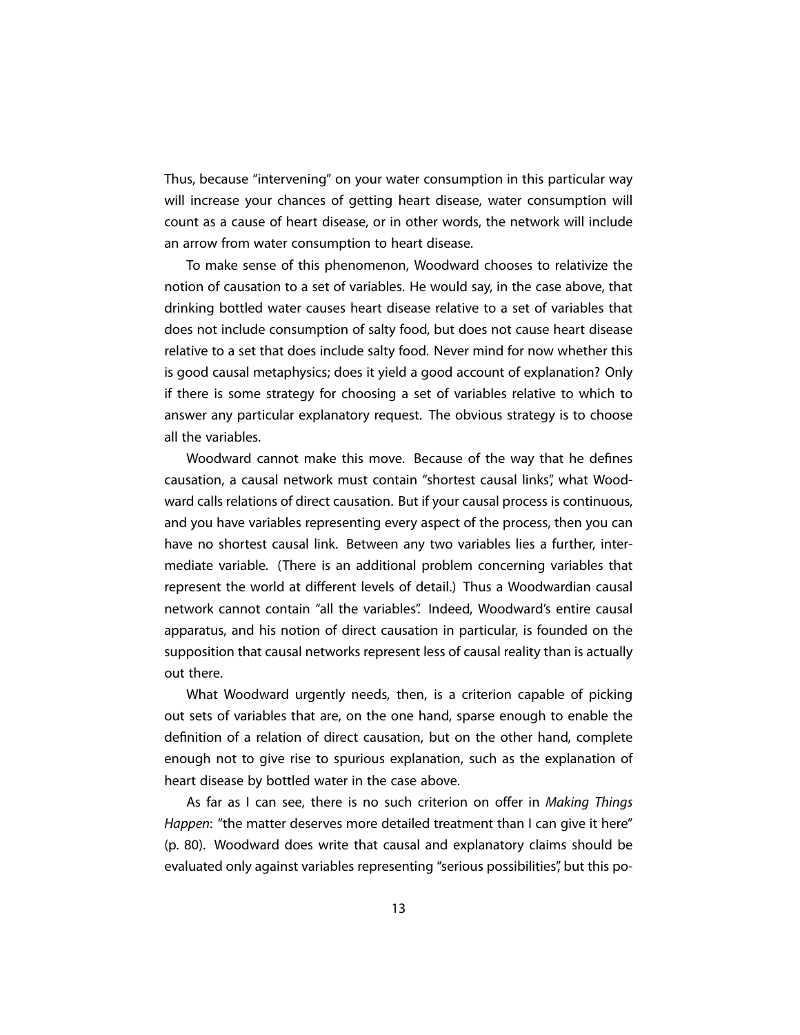Thus, because "intervening" on your water consumption in this particular way will increase your chances of getting heart disease, water consumption will count as a cause of heart disease, or in other words, the network will include an arrow from water consumption to heart disease.

To make sense of this phenomenon, Woodward chooses to relativize the notion of causation to a set of variables. He would say, in the case above, that drinking bottled water causes heart disease relative to a set of variables that does not include consumption of salty food, but does not cause heart disease relative to a set that does include salty food. Never mind for now whether this is good causal metaphysics; does it yield a good account of explanation? Only if there is some strategy for choosing a set of variables relative to which to answer any particular explanatory request. The obvious strategy is to choose all the variables.

Woodward cannot make this move. Because of the way that he defines causation, a causal network must contain "shortest causal links", what Woodward calls relations of direct causation. But if your causal process is continuous, and you have variables representing every aspect of the process, then you can have no shortest causal link. Between any two variables lies a further, intermediate variable. (There is an additional problem concerning variables that represent the world at different levels of detail.) Thus a Woodwardian causal network cannot contain "all the variables". Indeed, Woodward's entire causal apparatus, and his notion of direct causation in particular, is founded on the supposition that causal networks represent less of causal reality than is actually out there.

What Woodward urgently needs, then, is a criterion capable of picking out sets of variables that are, on the one hand, sparse enough to enable the definition of a relation of direct causation, but on the other hand, complete enough not to give rise to spurious explanation, such as the explanation of heart disease by bottled water in the case above.

As far as I can see, there is no such criterion on offer in *Making Things Happen*: "the matter deserves more detailed treatment than I can give it here" (p. 80). Woodward does write that causal and explanatory claims should be evaluated only against variables representing "serious possibilities", but this po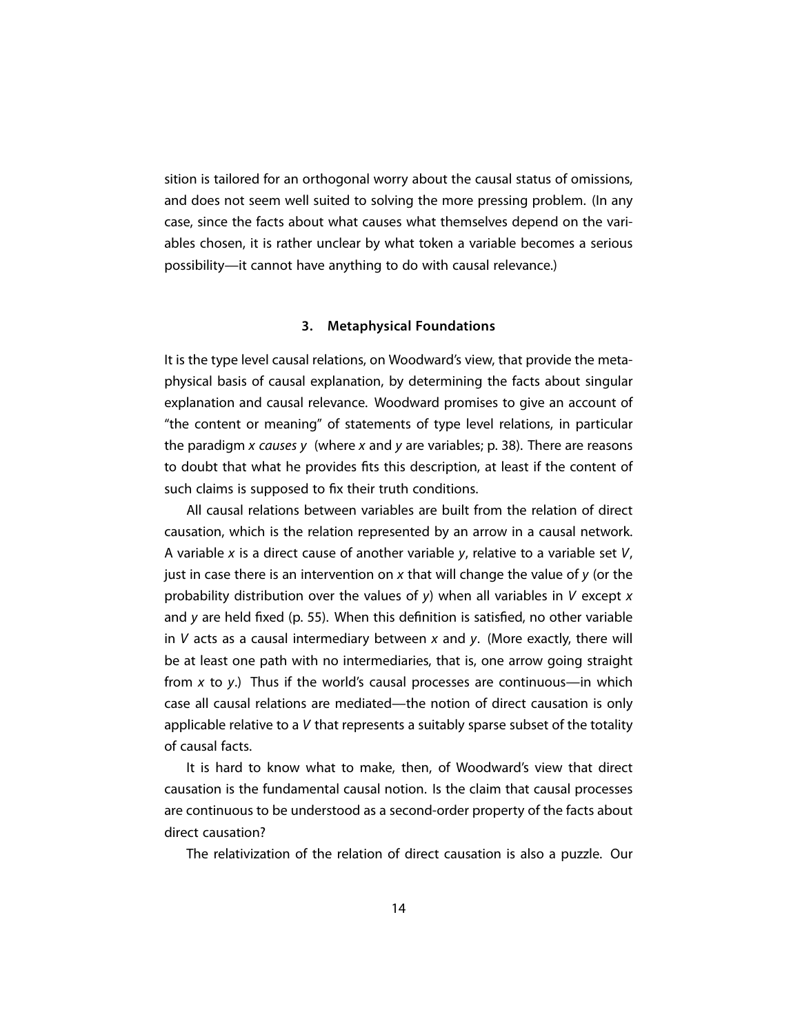sition is tailored for an orthogonal worry about the causal status of omissions, and does not seem well suited to solving the more pressing problem. (In any case, since the facts about what causes what themselves depend on the variables chosen, it is rather unclear by what token a variable becomes a serious possibility—it cannot have anything to do with causal relevance.)

## **3. Metaphysical Foundations**

It is the type level causal relations, on Woodward's view, that provide the metaphysical basis of causal explanation, by determining the facts about singular explanation and causal relevance. Woodward promises to give an account of "the content or meaning" of statements of type level relations, in particular the paradigm *x causes y* (where *x* and *y* are variables; p. 38). There are reasons to doubt that what he provides fits this description, at least if the content of such claims is supposed to fix their truth conditions.

All causal relations between variables are built from the relation of direct causation, which is the relation represented by an arrow in a causal network. A variable *x* is a direct cause of another variable *y*, relative to a variable set *V*, just in case there is an intervention on *x* that will change the value of *y* (or the probability distribution over the values of *y*) when all variables in *V* except *x* and *y* are held fixed (p. 55). When this definition is satisfied, no other variable in *V* acts as a causal intermediary between *x* and *y*. (More exactly, there will be at least one path with no intermediaries, that is, one arrow going straight from *x* to *y*.) Thus if the world's causal processes are continuous—in which case all causal relations are mediated—the notion of direct causation is only applicable relative to a *V* that represents a suitably sparse subset of the totality of causal facts.

It is hard to know what to make, then, of Woodward's view that direct causation is the fundamental causal notion. Is the claim that causal processes are continuous to be understood as a second-order property of the facts about direct causation?

The relativization of the relation of direct causation is also a puzzle. Our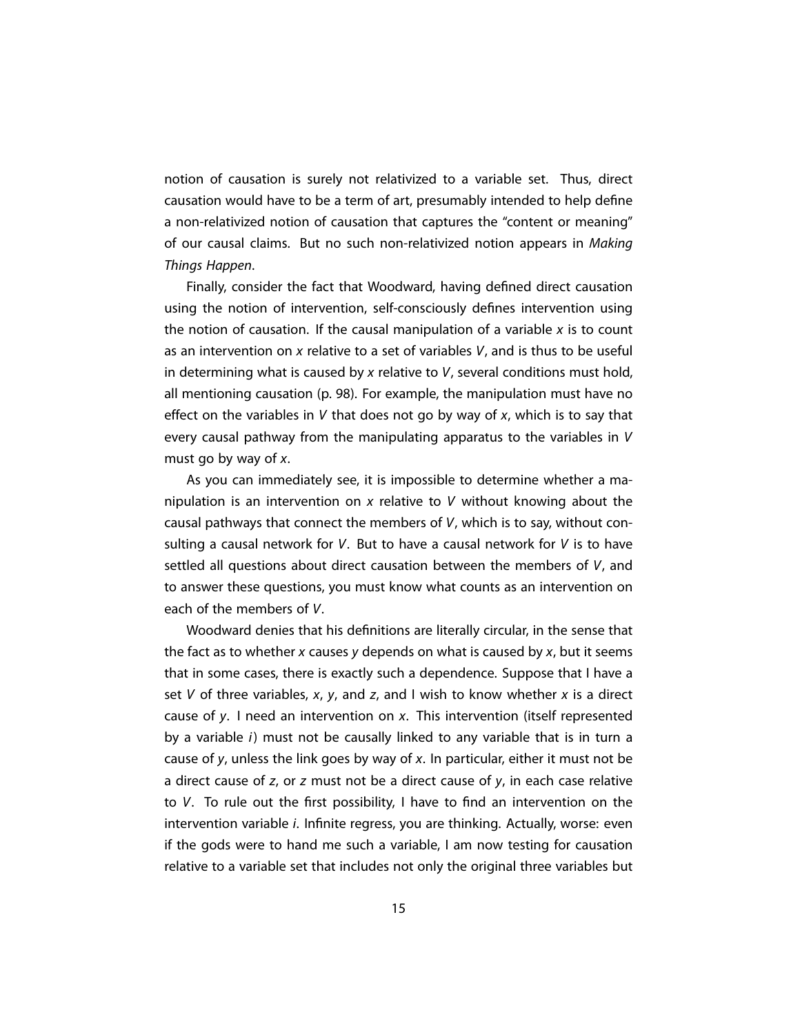notion of causation is surely not relativized to a variable set. Thus, direct causation would have to be a term of art, presumably intended to help define a non-relativized notion of causation that captures the "content or meaning" of our causal claims. But no such non-relativized notion appears in *Making Things Happen*.

Finally, consider the fact that Woodward, having defined direct causation using the notion of intervention, self-consciously defines intervention using the notion of causation. If the causal manipulation of a variable *x* is to count as an intervention on *x* relative to a set of variables *V*, and is thus to be useful in determining what is caused by *x* relative to *V*, several conditions must hold, all mentioning causation (p. 98). For example, the manipulation must have no effect on the variables in *V* that does not go by way of *x*, which is to say that every causal pathway from the manipulating apparatus to the variables in *V* must go by way of *x*.

As you can immediately see, it is impossible to determine whether a manipulation is an intervention on *x* relative to *V* without knowing about the causal pathways that connect the members of *V*, which is to say, without consulting a causal network for *V*. But to have a causal network for *V* is to have settled all questions about direct causation between the members of *V*, and to answer these questions, you must know what counts as an intervention on each of the members of *V*.

Woodward denies that his definitions are literally circular, in the sense that the fact as to whether *x* causes *y* depends on what is caused by *x*, but it seems that in some cases, there is exactly such a dependence. Suppose that I have a set *V* of three variables, *x*, *y*, and *z*, and I wish to know whether *x* is a direct cause of *y*. I need an intervention on *x*. This intervention (itself represented by a variable *i*) must not be causally linked to any variable that is in turn a cause of *y*, unless the link goes by way of *x*. In particular, either it must not be a direct cause of *z*, or *z* must not be a direct cause of *y*, in each case relative to *V*. To rule out the first possibility, I have to find an intervention on the intervention variable *i*. Infinite regress, you are thinking. Actually, worse: even if the gods were to hand me such a variable, I am now testing for causation relative to a variable set that includes not only the original three variables but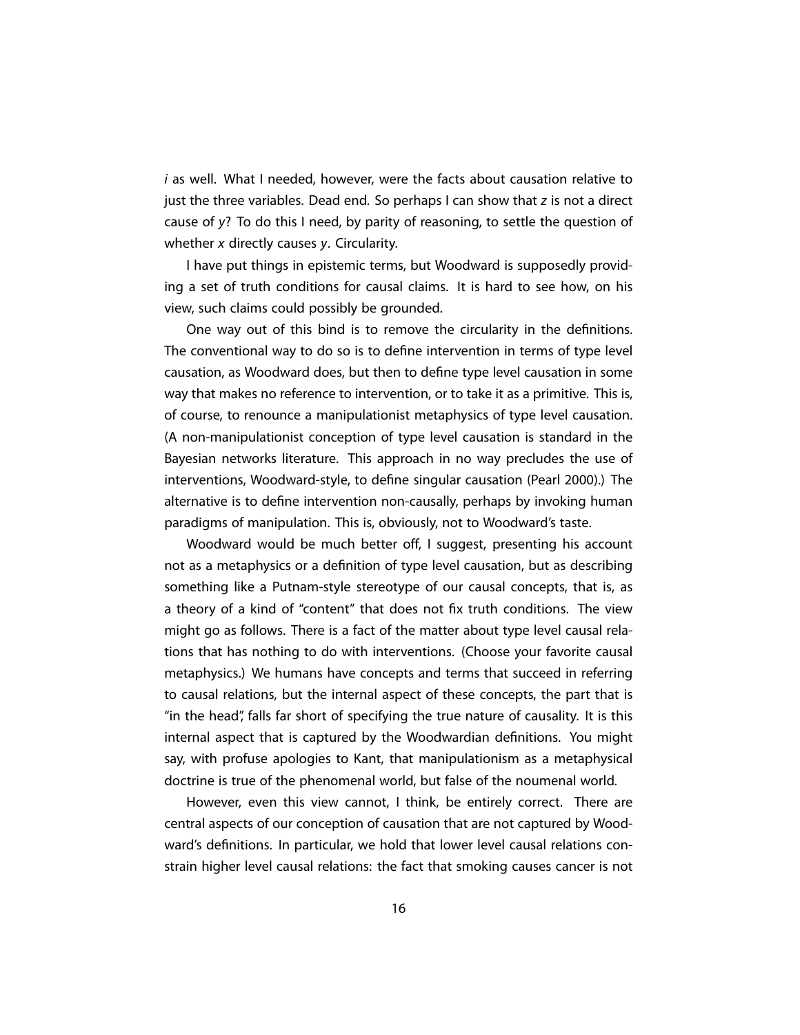*i* as well. What I needed, however, were the facts about causation relative to just the three variables. Dead end. So perhaps I can show that *z* is not a direct cause of *y*? To do this I need, by parity of reasoning, to settle the question of whether *x* directly causes *y*. Circularity.

I have put things in epistemic terms, but Woodward is supposedly providing a set of truth conditions for causal claims. It is hard to see how, on his view, such claims could possibly be grounded.

One way out of this bind is to remove the circularity in the definitions. The conventional way to do so is to define intervention in terms of type level causation, as Woodward does, but then to define type level causation in some way that makes no reference to intervention, or to take it as a primitive. This is, of course, to renounce a manipulationist metaphysics of type level causation. (A non-manipulationist conception of type level causation is standard in the Bayesian networks literature. This approach in no way precludes the use of interventions, Woodward-style, to define singular causation (Pearl 2000).) The alternative is to define intervention non-causally, perhaps by invoking human paradigms of manipulation. This is, obviously, not to Woodward's taste.

Woodward would be much better off, I suggest, presenting his account not as a metaphysics or a definition of type level causation, but as describing something like a Putnam-style stereotype of our causal concepts, that is, as a theory of a kind of "content" that does not fix truth conditions. The view might go as follows. There is a fact of the matter about type level causal relations that has nothing to do with interventions. (Choose your favorite causal metaphysics.) We humans have concepts and terms that succeed in referring to causal relations, but the internal aspect of these concepts, the part that is "in the head", falls far short of specifying the true nature of causality. It is this internal aspect that is captured by the Woodwardian definitions. You might say, with profuse apologies to Kant, that manipulationism as a metaphysical doctrine is true of the phenomenal world, but false of the noumenal world.

However, even this view cannot, I think, be entirely correct. There are central aspects of our conception of causation that are not captured by Woodward's definitions. In particular, we hold that lower level causal relations constrain higher level causal relations: the fact that smoking causes cancer is not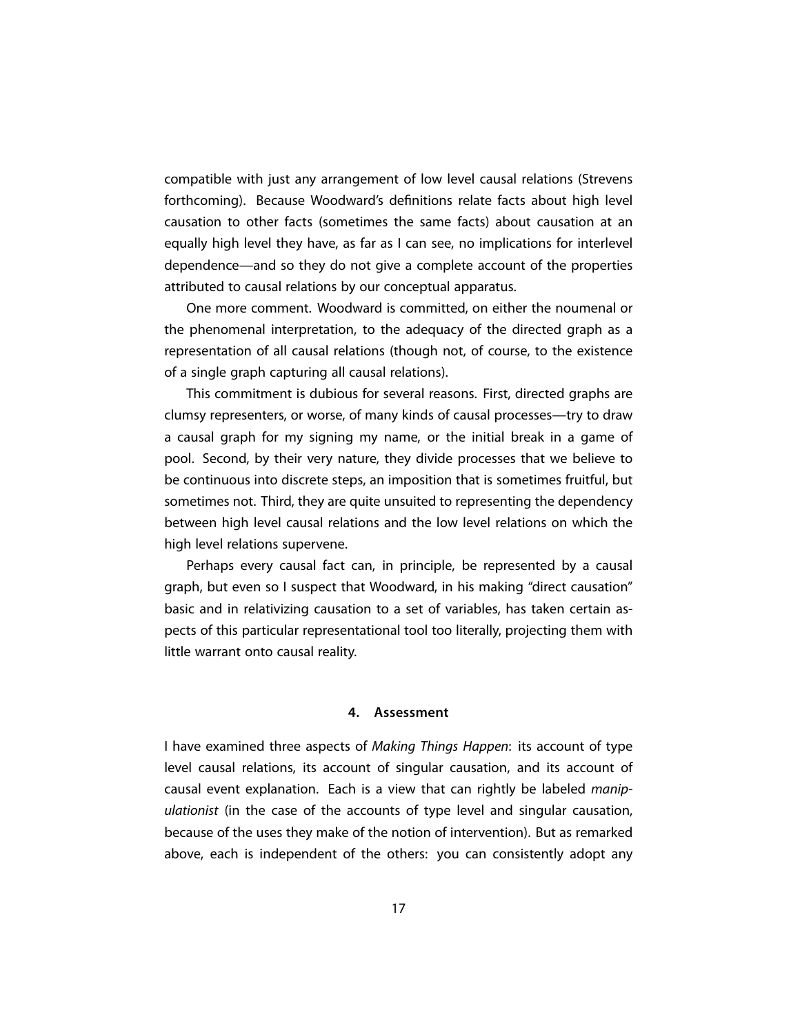compatible with just any arrangement of low level causal relations (Strevens forthcoming). Because Woodward's definitions relate facts about high level causation to other facts (sometimes the same facts) about causation at an equally high level they have, as far as I can see, no implications for interlevel dependence—and so they do not give a complete account of the properties attributed to causal relations by our conceptual apparatus.

One more comment. Woodward is committed, on either the noumenal or the phenomenal interpretation, to the adequacy of the directed graph as a representation of all causal relations (though not, of course, to the existence of a single graph capturing all causal relations).

This commitment is dubious for several reasons. First, directed graphs are clumsy representers, or worse, of many kinds of causal processes—try to draw a causal graph for my signing my name, or the initial break in a game of pool. Second, by their very nature, they divide processes that we believe to be continuous into discrete steps, an imposition that is sometimes fruitful, but sometimes not. Third, they are quite unsuited to representing the dependency between high level causal relations and the low level relations on which the high level relations supervene.

Perhaps every causal fact can, in principle, be represented by a causal graph, but even so I suspect that Woodward, in his making "direct causation" basic and in relativizing causation to a set of variables, has taken certain aspects of this particular representational tool too literally, projecting them with little warrant onto causal reality.

### **4. Assessment**

I have examined three aspects of *Making Things Happen*: its account of type level causal relations, its account of singular causation, and its account of causal event explanation. Each is a view that can rightly be labeled *manipulationist* (in the case of the accounts of type level and singular causation, because of the uses they make of the notion of intervention). But as remarked above, each is independent of the others: you can consistently adopt any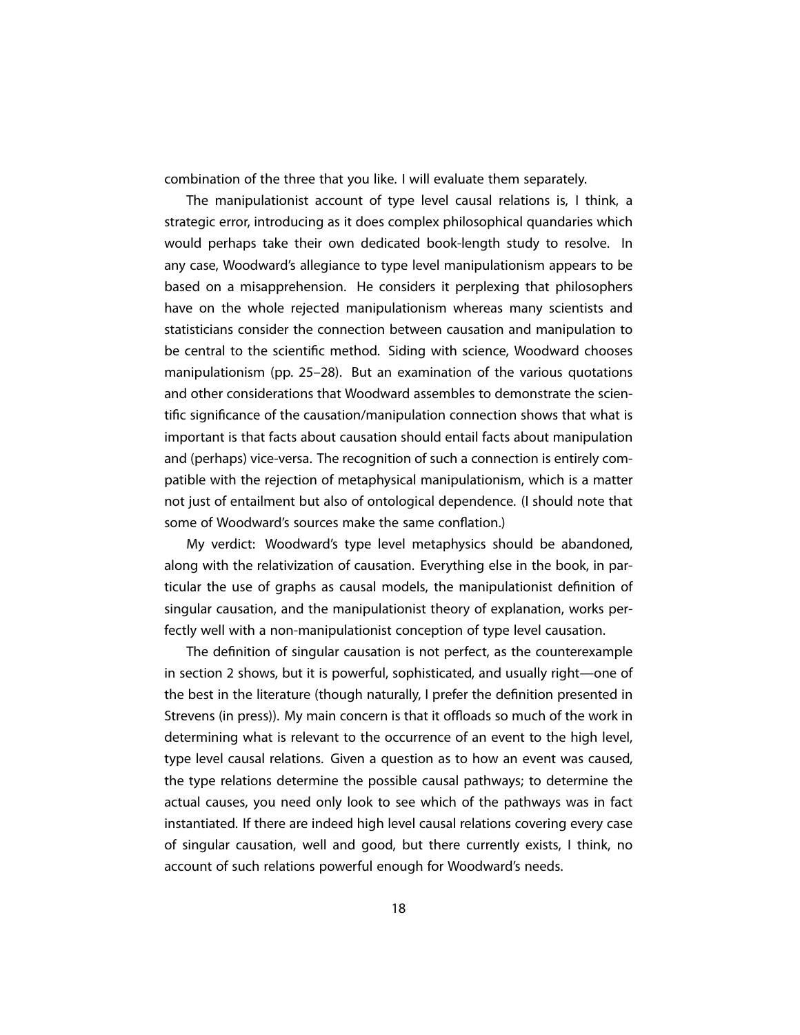combination of the three that you like. I will evaluate them separately.

The manipulationist account of type level causal relations is, I think, a strategic error, introducing as it does complex philosophical quandaries which would perhaps take their own dedicated book-length study to resolve. In any case, Woodward's allegiance to type level manipulationism appears to be based on a misapprehension. He considers it perplexing that philosophers have on the whole rejected manipulationism whereas many scientists and statisticians consider the connection between causation and manipulation to be central to the scientific method. Siding with science, Woodward chooses manipulationism (pp. 25–28). But an examination of the various quotations and other considerations that Woodward assembles to demonstrate the scientific significance of the causation/manipulation connection shows that what is important is that facts about causation should entail facts about manipulation and (perhaps) vice-versa. The recognition of such a connection is entirely compatible with the rejection of metaphysical manipulationism, which is a matter not just of entailment but also of ontological dependence. (I should note that some of Woodward's sources make the same conflation.)

My verdict: Woodward's type level metaphysics should be abandoned, along with the relativization of causation. Everything else in the book, in particular the use of graphs as causal models, the manipulationist definition of singular causation, and the manipulationist theory of explanation, works perfectly well with a non-manipulationist conception of type level causation.

The definition of singular causation is not perfect, as the counterexample in section 2 shows, but it is powerful, sophisticated, and usually right—one of the best in the literature (though naturally, I prefer the definition presented in Strevens (in press)). My main concern is that it offloads so much of the work in determining what is relevant to the occurrence of an event to the high level, type level causal relations. Given a question as to how an event was caused, the type relations determine the possible causal pathways; to determine the actual causes, you need only look to see which of the pathways was in fact instantiated. If there are indeed high level causal relations covering every case of singular causation, well and good, but there currently exists, I think, no account of such relations powerful enough for Woodward's needs.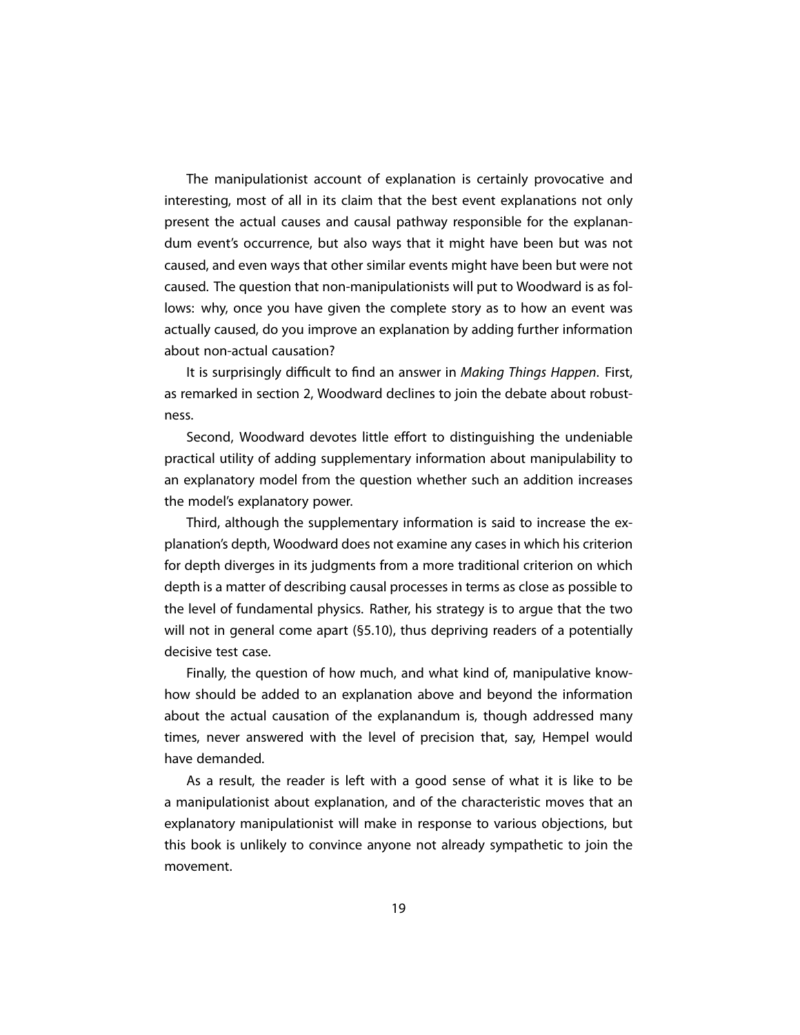The manipulationist account of explanation is certainly provocative and interesting, most of all in its claim that the best event explanations not only present the actual causes and causal pathway responsible for the explanandum event's occurrence, but also ways that it might have been but was not caused, and even ways that other similar events might have been but were not caused. The question that non-manipulationists will put to Woodward is as follows: why, once you have given the complete story as to how an event was actually caused, do you improve an explanation by adding further information about non-actual causation?

It is surprisingly difficult to find an answer in *Making Things Happen*. First, as remarked in section 2, Woodward declines to join the debate about robustness.

Second, Woodward devotes little effort to distinguishing the undeniable practical utility of adding supplementary information about manipulability to an explanatory model from the question whether such an addition increases the model's explanatory power.

Third, although the supplementary information is said to increase the explanation's depth, Woodward does not examine any cases in which his criterion for depth diverges in its judgments from a more traditional criterion on which depth is a matter of describing causal processes in terms as close as possible to the level of fundamental physics. Rather, his strategy is to argue that the two will not in general come apart (§5.10), thus depriving readers of a potentially decisive test case.

Finally, the question of how much, and what kind of, manipulative knowhow should be added to an explanation above and beyond the information about the actual causation of the explanandum is, though addressed many times, never answered with the level of precision that, say, Hempel would have demanded.

As a result, the reader is left with a good sense of what it is like to be a manipulationist about explanation, and of the characteristic moves that an explanatory manipulationist will make in response to various objections, but this book is unlikely to convince anyone not already sympathetic to join the movement.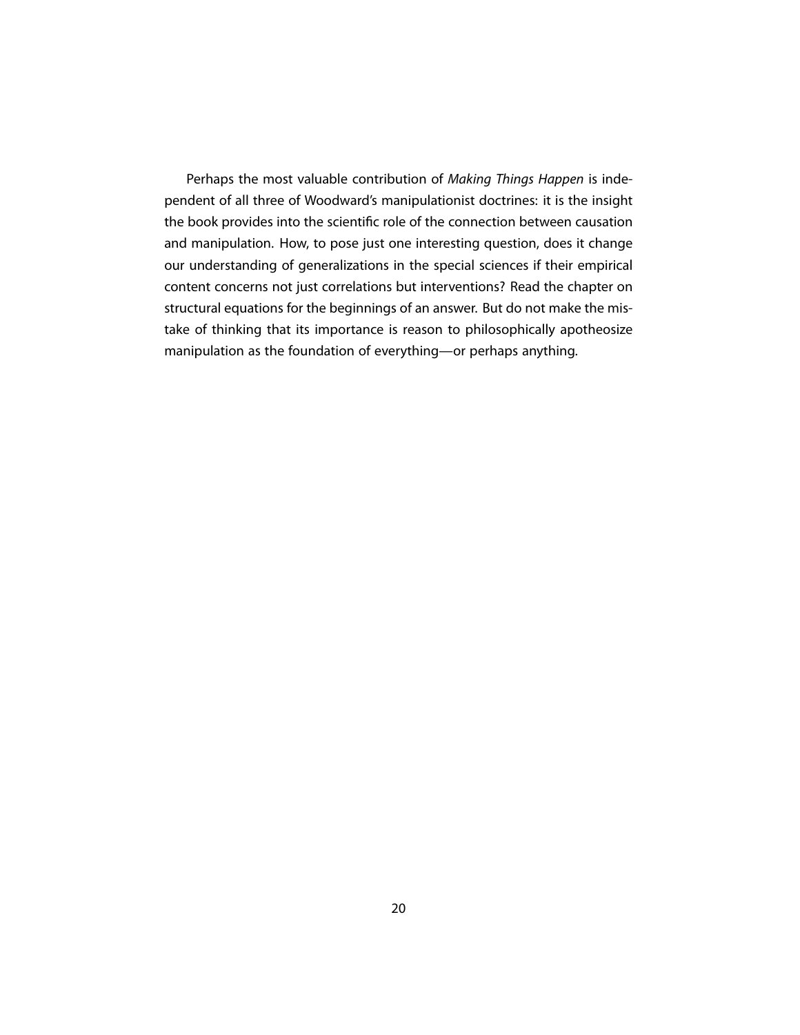Perhaps the most valuable contribution of *Making Things Happen* is independent of all three of Woodward's manipulationist doctrines: it is the insight the book provides into the scientific role of the connection between causation and manipulation. How, to pose just one interesting question, does it change our understanding of generalizations in the special sciences if their empirical content concerns not just correlations but interventions? Read the chapter on structural equations for the beginnings of an answer. But do not make the mistake of thinking that its importance is reason to philosophically apotheosize manipulation as the foundation of everything—or perhaps anything.